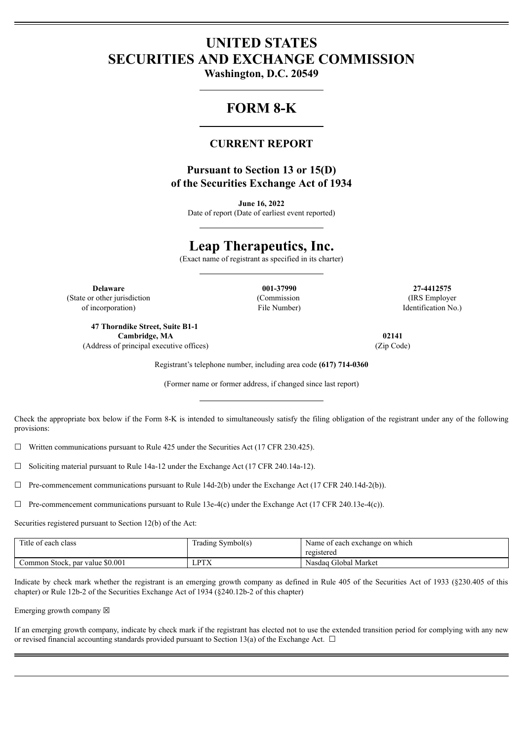# **UNITED STATES SECURITIES AND EXCHANGE COMMISSION**

**Washington, D.C. 20549**

## **FORM 8-K**

### **CURRENT REPORT**

**Pursuant to Section 13 or 15(D) of the Securities Exchange Act of 1934**

**June 16, 2022** Date of report (Date of earliest event reported)

### **Leap Therapeutics, Inc.**

(Exact name of registrant as specified in its charter)

(Commission File Number)

**Delaware 001-37990 27-4412575** (State or other jurisdiction of incorporation)

**47 Thorndike Street, Suite B1-1 Cambridge, MA 02141** (Address of principal executive offices) (Zip Code)

(IRS Employer Identification No.)

Registrant's telephone number, including area code **(617) 714-0360**

(Former name or former address, if changed since last report)

Check the appropriate box below if the Form 8-K is intended to simultaneously satisfy the filing obligation of the registrant under any of the following provisions:

☐ Written communications pursuant to Rule 425 under the Securities Act (17 CFR 230.425).

☐ Soliciting material pursuant to Rule 14a-12 under the Exchange Act (17 CFR 240.14a-12).

☐ Pre-commencement communications pursuant to Rule 14d-2(b) under the Exchange Act (17 CFR 240.14d-2(b)).

 $\Box$  Pre-commencement communications pursuant to Rule 13e-4(c) under the Exchange Act (17 CFR 240.13e-4(c)).

Securities registered pursuant to Section 12(b) of the Act:

| Title of each class             | frading Symbol(s)    | Name of each exchange on which |
|---------------------------------|----------------------|--------------------------------|
|                                 |                      | registered                     |
| Common Stock, par value \$0.001 | <b>DTV</b><br>LI 178 | Nasdag Global Market           |

Indicate by check mark whether the registrant is an emerging growth company as defined in Rule 405 of the Securities Act of 1933 (§230.405 of this chapter) or Rule 12b-2 of the Securities Exchange Act of 1934 (§240.12b-2 of this chapter)

Emerging growth company  $\boxtimes$ 

If an emerging growth company, indicate by check mark if the registrant has elected not to use the extended transition period for complying with any new or revised financial accounting standards provided pursuant to Section 13(a) of the Exchange Act.  $\Box$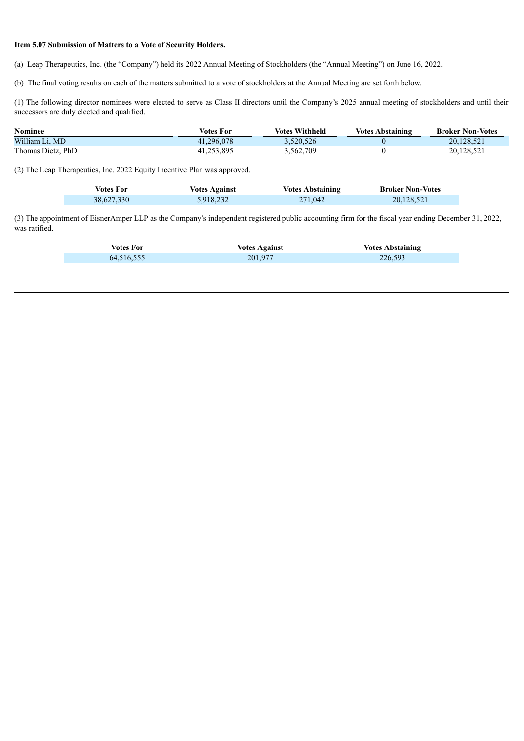#### **Item 5.07 Submission of Matters to a Vote of Security Holders.**

(a) Leap Therapeutics, Inc. (the "Company") held its 2022 Annual Meeting of Stockholders (the "Annual Meeting") on June 16, 2022.

(b) The final voting results on each of the matters submitted to a vote of stockholders at the Annual Meeting are set forth below.

(1) The following director nominees were elected to serve as Class II directors until the Company's 2025 annual meeting of stockholders and until their successors are duly elected and qualified.

| <b>Nominee</b>    | Votes For  | <b>Votes Withheld</b> | <b>Votes Abstaining</b> | <b>Broker Non-Votes</b> |
|-------------------|------------|-----------------------|-------------------------|-------------------------|
| William Li. MD    | 41.296.078 | 3.520.526             |                         | 20.128.521              |
| Thomas Dietz, PhD | 41,253,895 | 3,562,709             |                         | 20,128,521              |

(2) The Leap Therapeutics, Inc. 2022 Equity Incentive Plan was approved.

| Votes For  | Votes Against | <b>Votes Abstaining</b> | <b>Broker Non-Votes</b> |
|------------|---------------|-------------------------|-------------------------|
| 38,627,330 | 5,918,232     | 271,042                 | 20,128,521              |

(3) The appointment of EisnerAmper LLP as the Company's independent registered public accounting firm for the fiscal year ending December 31, 2022, was ratified.

| votes For  | Votes Against | <b>Votes Abstaining</b> |  |
|------------|---------------|-------------------------|--|
| 64.516.555 | 201,977       | 226,593                 |  |